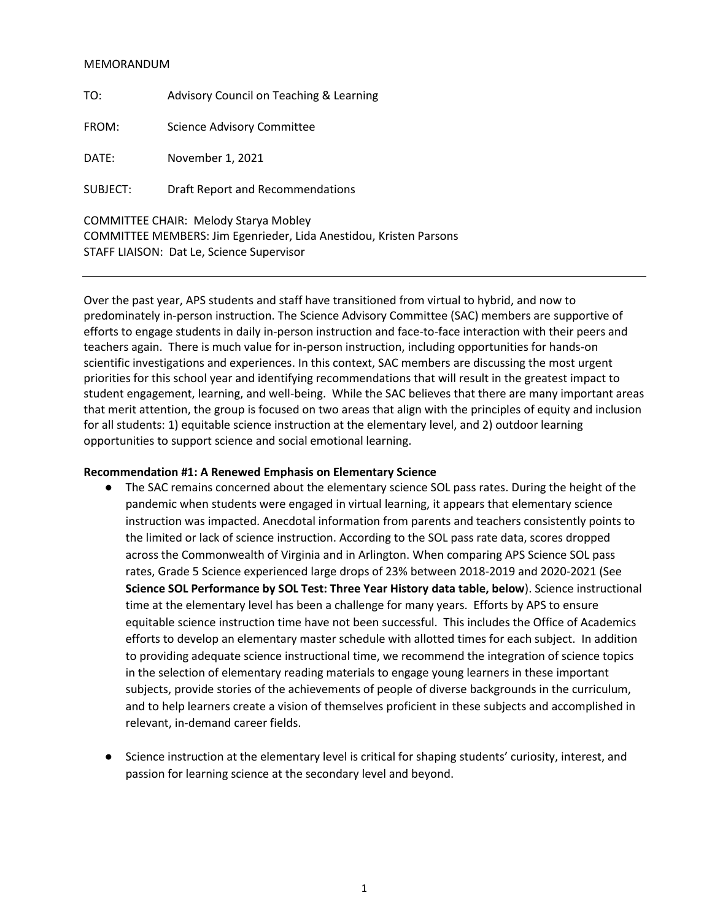## MEMORANDUM

| TO:      | Advisory Council on Teaching & Learning                                                                            |
|----------|--------------------------------------------------------------------------------------------------------------------|
| FROM:    | <b>Science Advisory Committee</b>                                                                                  |
| DATE:    | November 1, 2021                                                                                                   |
| SUBJECT: | Draft Report and Recommendations                                                                                   |
|          | <b>COMMITTEE CHAIR: Melody Starya Mobley</b><br>COMMITTEE MEMBERS: Jim Egenrieder, Lida Anestidou, Kristen Parsons |

STAFF LIAISON: Dat Le, Science Supervisor

Over the past year, APS students and staff have transitioned from virtual to hybrid, and now to predominately in-person instruction. The Science Advisory Committee (SAC) members are supportive of efforts to engage students in daily in-person instruction and face-to-face interaction with their peers and teachers again. There is much value for in-person instruction, including opportunities for hands-on scientific investigations and experiences. In this context, SAC members are discussing the most urgent priorities for this school year and identifying recommendations that will result in the greatest impact to student engagement, learning, and well-being. While the SAC believes that there are many important areas that merit attention, the group is focused on two areas that align with the principles of equity and inclusion for all students: 1) equitable science instruction at the elementary level, and 2) outdoor learning opportunities to support science and social emotional learning.

## **Recommendation #1: A Renewed Emphasis on Elementary Science**

- The SAC remains concerned about the elementary science SOL pass rates. During the height of the pandemic when students were engaged in virtual learning, it appears that elementary science instruction was impacted. Anecdotal information from parents and teachers consistently points to the limited or lack of science instruction. According to the SOL pass rate data, scores dropped across the Commonwealth of Virginia and in Arlington. When comparing APS Science SOL pass rates, Grade 5 Science experienced large drops of 23% between 2018-2019 and 2020-2021 (See **Science SOL Performance by SOL Test: Three Year History data table, below**). Science instructional time at the elementary level has been a challenge for many years. Efforts by APS to ensure equitable science instruction time have not been successful. This includes the Office of Academics efforts to develop an elementary master schedule with allotted times for each subject. In addition to providing adequate science instructional time, we recommend the integration of science topics in the selection of elementary reading materials to engage young learners in these important subjects, provide stories of the achievements of people of diverse backgrounds in the curriculum, and to help learners create a vision of themselves proficient in these subjects and accomplished in relevant, in-demand career fields.
- Science instruction at the elementary level is critical for shaping students' curiosity, interest, and passion for learning science at the secondary level and beyond.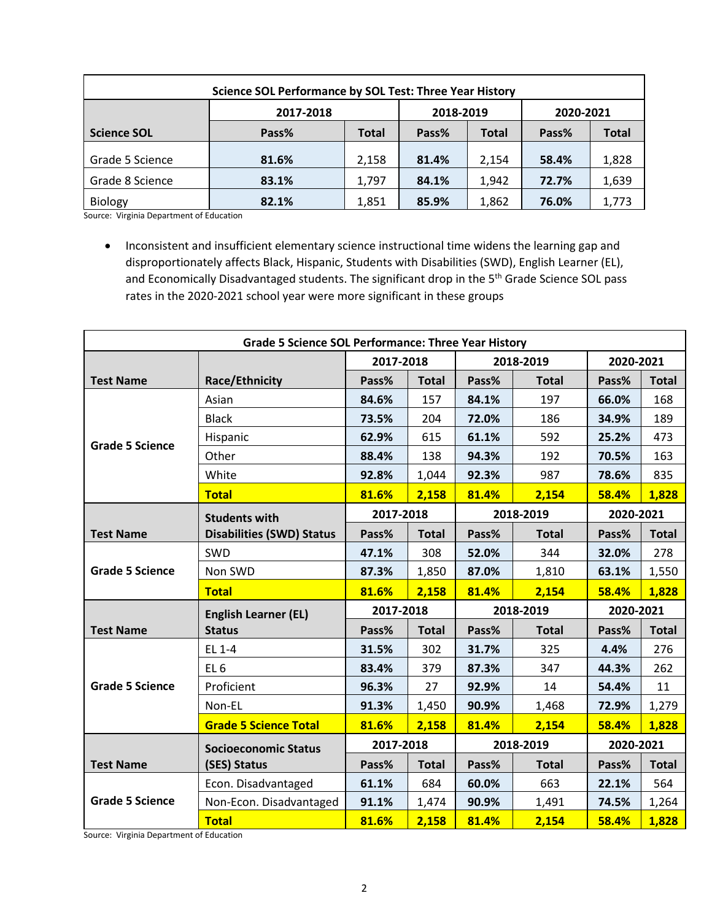| <b>Science SOL Performance by SOL Test: Three Year History</b> |           |              |                       |           |       |              |  |  |  |  |
|----------------------------------------------------------------|-----------|--------------|-----------------------|-----------|-------|--------------|--|--|--|--|
|                                                                | 2017-2018 | 2018-2019    |                       | 2020-2021 |       |              |  |  |  |  |
| <b>Science SOL</b>                                             | Pass%     | <b>Total</b> | Pass%<br><b>Total</b> |           | Pass% | <b>Total</b> |  |  |  |  |
| Grade 5 Science                                                | 81.6%     | 2,158        | 81.4%                 | 2.154     | 58.4% | 1,828        |  |  |  |  |
| Grade 8 Science                                                | 83.1%     | 1,797        | 84.1%                 | 1,942     | 72.7% | 1,639        |  |  |  |  |
| <b>Biology</b>                                                 | 82.1%     | 1,851        | 85.9%                 | 1,862     | 76.0% | 1,773        |  |  |  |  |

Source: Virginia Department of Education

• Inconsistent and insufficient elementary science instructional time widens the learning gap and disproportionately affects Black, Hispanic, Students with Disabilities (SWD), English Learner (EL), and Economically Disadvantaged students. The significant drop in the 5<sup>th</sup> Grade Science SOL pass rates in the 2020-2021 school year were more significant in these groups

| <b>Grade 5 Science SOL Performance: Three Year History</b> |                                  |           |              |           |              |           |              |  |
|------------------------------------------------------------|----------------------------------|-----------|--------------|-----------|--------------|-----------|--------------|--|
|                                                            |                                  | 2017-2018 |              | 2018-2019 |              | 2020-2021 |              |  |
| <b>Test Name</b>                                           | <b>Race/Ethnicity</b>            | Pass%     | <b>Total</b> | Pass%     | <b>Total</b> | Pass%     | <b>Total</b> |  |
| <b>Grade 5 Science</b>                                     | Asian                            | 84.6%     | 157          | 84.1%     | 197          | 66.0%     | 168          |  |
|                                                            | <b>Black</b>                     | 73.5%     | 204          | 72.0%     | 186          | 34.9%     | 189          |  |
|                                                            | Hispanic                         | 62.9%     | 615          | 61.1%     | 592          | 25.2%     | 473          |  |
|                                                            | Other                            | 88.4%     | 138          | 94.3%     | 192          | 70.5%     | 163          |  |
|                                                            | White                            | 92.8%     | 1,044        | 92.3%     | 987          | 78.6%     | 835          |  |
|                                                            | <b>Total</b>                     | 81.6%     | 2,158        | 81.4%     | 2,154        | 58.4%     | 1,828        |  |
|                                                            | <b>Students with</b>             |           | 2017-2018    |           | 2018-2019    |           | 2020-2021    |  |
| <b>Test Name</b>                                           | <b>Disabilities (SWD) Status</b> | Pass%     | <b>Total</b> | Pass%     | <b>Total</b> | Pass%     | <b>Total</b> |  |
| <b>Grade 5 Science</b>                                     | <b>SWD</b>                       | 47.1%     | 308          | 52.0%     | 344          | 32.0%     | 278          |  |
|                                                            | Non SWD                          | 87.3%     | 1,850        | 87.0%     | 1,810        | 63.1%     | 1,550        |  |
|                                                            | <b>Total</b>                     | 81.6%     | 2,158        | 81.4%     | 2,154        | 58.4%     | 1,828        |  |
|                                                            | <b>English Learner (EL)</b>      | 2017-2018 |              | 2018-2019 |              | 2020-2021 |              |  |
| <b>Test Name</b>                                           | <b>Status</b>                    | Pass%     | <b>Total</b> | Pass%     | <b>Total</b> | Pass%     | <b>Total</b> |  |
| <b>Grade 5 Science</b>                                     | EL 1-4                           | 31.5%     | 302          | 31.7%     | 325          | 4.4%      | 276          |  |
|                                                            | EL <sub>6</sub>                  | 83.4%     | 379          | 87.3%     | 347          | 44.3%     | 262          |  |
|                                                            | Proficient                       | 96.3%     | 27           | 92.9%     | 14           | 54.4%     | 11           |  |
|                                                            | Non-EL                           | 91.3%     | 1,450        | 90.9%     | 1,468        | 72.9%     | 1,279        |  |
|                                                            | <b>Grade 5 Science Total</b>     | 81.6%     | 2,158        | 81.4%     | 2,154        | 58.4%     | 1,828        |  |
|                                                            | <b>Socioeconomic Status</b>      | 2017-2018 |              | 2018-2019 |              | 2020-2021 |              |  |
| <b>Test Name</b>                                           | (SES) Status                     | Pass%     | <b>Total</b> | Pass%     | <b>Total</b> | Pass%     | <b>Total</b> |  |
| <b>Grade 5 Science</b>                                     | Econ. Disadvantaged              | 61.1%     | 684          | 60.0%     | 663          | 22.1%     | 564          |  |
|                                                            | Non-Econ. Disadvantaged          | 91.1%     | 1,474        | 90.9%     | 1,491        | 74.5%     | 1,264        |  |
|                                                            | <b>Total</b>                     | 81.6%     | 2,158        | 81.4%     | 2,154        | 58.4%     | 1,828        |  |

Source: Virginia Department of Education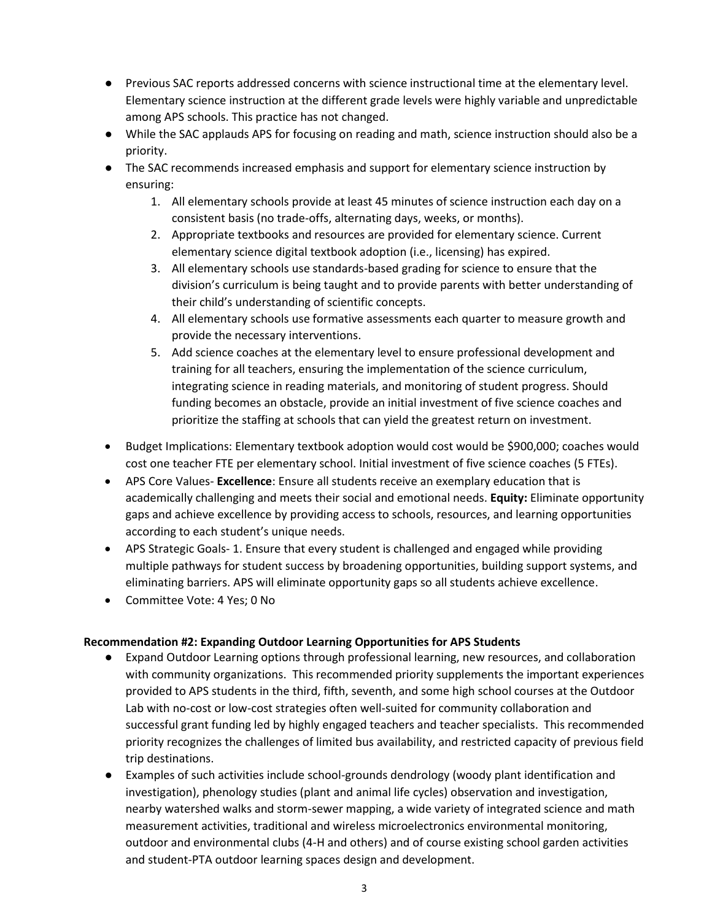- Previous SAC reports addressed concerns with science instructional time at the elementary level. Elementary science instruction at the different grade levels were highly variable and unpredictable among APS schools. This practice has not changed.
- While the SAC applauds APS for focusing on reading and math, science instruction should also be a priority.
- The SAC recommends increased emphasis and support for elementary science instruction by ensuring:
	- 1. All elementary schools provide at least 45 minutes of science instruction each day on a consistent basis (no trade-offs, alternating days, weeks, or months).
	- 2. Appropriate textbooks and resources are provided for elementary science. Current elementary science digital textbook adoption (i.e., licensing) has expired.
	- 3. All elementary schools use standards-based grading for science to ensure that the division's curriculum is being taught and to provide parents with better understanding of their child's understanding of scientific concepts.
	- 4. All elementary schools use formative assessments each quarter to measure growth and provide the necessary interventions.
	- 5. Add science coaches at the elementary level to ensure professional development and training for all teachers, ensuring the implementation of the science curriculum, integrating science in reading materials, and monitoring of student progress. Should funding becomes an obstacle, provide an initial investment of five science coaches and prioritize the staffing at schools that can yield the greatest return on investment.
- Budget Implications: Elementary textbook adoption would cost would be \$900,000; coaches would cost one teacher FTE per elementary school. Initial investment of five science coaches (5 FTEs).
- APS Core Values- **Excellence**: Ensure all students receive an exemplary education that is academically challenging and meets their social and emotional needs. **Equity:** Eliminate opportunity gaps and achieve excellence by providing access to schools, resources, and learning opportunities according to each student's unique needs.
- APS Strategic Goals- 1. Ensure that every student is challenged and engaged while providing multiple pathways for student success by broadening opportunities, building support systems, and eliminating barriers. APS will eliminate opportunity gaps so all students achieve excellence.
- Committee Vote: 4 Yes; 0 No

## **Recommendation #2: Expanding Outdoor Learning Opportunities for APS Students**

- Expand Outdoor Learning options through professional learning, new resources, and collaboration with community organizations. This recommended priority supplements the important experiences provided to APS students in the third, fifth, seventh, and some high school courses at the Outdoor Lab with no-cost or low-cost strategies often well-suited for community collaboration and successful grant funding led by highly engaged teachers and teacher specialists. This recommended priority recognizes the challenges of limited bus availability, and restricted capacity of previous field trip destinations.
- Examples of such activities include school-grounds dendrology (woody plant identification and investigation), phenology studies (plant and animal life cycles) observation and investigation, nearby watershed walks and storm-sewer mapping, a wide variety of integrated science and math measurement activities, traditional and wireless microelectronics environmental monitoring, outdoor and environmental clubs (4-H and others) and of course existing school garden activities and student-PTA outdoor learning spaces design and development.